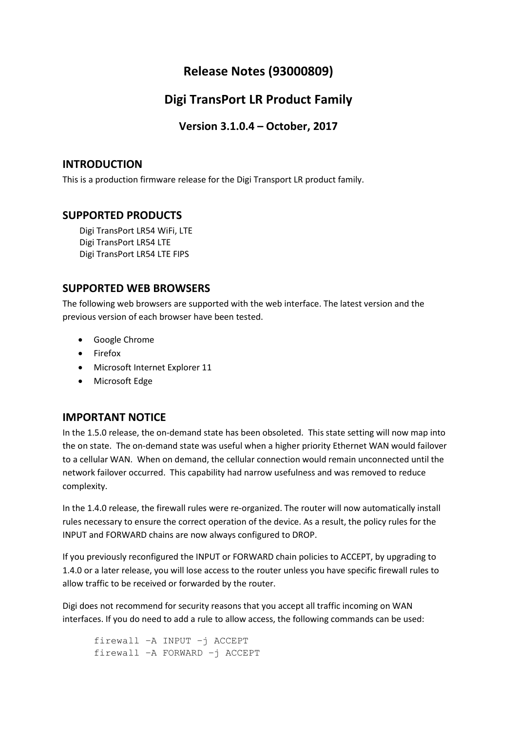## **Release Notes (93000809)**

## **Digi TransPort LR Product Family**

**Version 3.1.0.4 – October, 2017**

## **INTRODUCTION**

This is a production firmware release for the Digi Transport LR product family.

## **SUPPORTED PRODUCTS**

Digi TransPort LR54 WiFi, LTE Digi TransPort LR54 LTE Digi TransPort LR54 LTE FIPS

## **SUPPORTED WEB BROWSERS**

The following web browsers are supported with the web interface. The latest version and the previous version of each browser have been tested.

- Google Chrome
- Firefox
- Microsoft Internet Explorer 11
- Microsoft Edge

## **IMPORTANT NOTICE**

In the 1.5.0 release, the on-demand state has been obsoleted. This state setting will now map into the on state. The on-demand state was useful when a higher priority Ethernet WAN would failover to a cellular WAN. When on demand, the cellular connection would remain unconnected until the network failover occurred. This capability had narrow usefulness and was removed to reduce complexity.

In the 1.4.0 release, the firewall rules were re-organized. The router will now automatically install rules necessary to ensure the correct operation of the device. As a result, the policy rules for the INPUT and FORWARD chains are now always configured to DROP.

If you previously reconfigured the INPUT or FORWARD chain policies to ACCEPT, by upgrading to 1.4.0 or a later release, you will lose access to the router unless you have specific firewall rules to allow traffic to be received or forwarded by the router.

Digi does not recommend for security reasons that you accept all traffic incoming on WAN interfaces. If you do need to add a rule to allow access, the following commands can be used:

firewall –A INPUT –j ACCEPT firewall –A FORWARD –j ACCEPT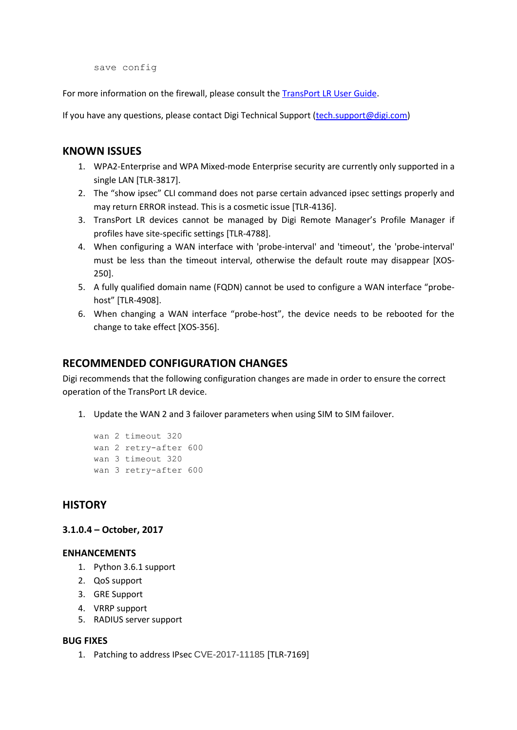save config

For more information on the firewall, please consult the [TransPort LR User Guide.](https://www.digi.com/resources/documentation/Digidocs/90001461/Default.htm)

If you have any questions, please contact Digi Technical Support [\(tech.support@digi.com\)](mailto:tech.support@digi.com)

#### **KNOWN ISSUES**

- 1. WPA2-Enterprise and WPA Mixed-mode Enterprise security are currently only supported in a single LAN [TLR-3817].
- 2. The "show ipsec" CLI command does not parse certain advanced ipsec settings properly and may return ERROR instead. This is a cosmetic issue [TLR-4136].
- 3. TransPort LR devices cannot be managed by Digi Remote Manager's Profile Manager if profiles have site-specific settings [TLR-4788].
- 4. When configuring a WAN interface with 'probe-interval' and 'timeout', the 'probe-interval' must be less than the timeout interval, otherwise the default route may disappear [XOS-250].
- 5. A fully qualified domain name (FQDN) cannot be used to configure a WAN interface "probehost" [TLR-4908].
- 6. When changing a WAN interface "probe-host", the device needs to be rebooted for the change to take effect [XOS-356].

#### **RECOMMENDED CONFIGURATION CHANGES**

Digi recommends that the following configuration changes are made in order to ensure the correct operation of the TransPort LR device.

1. Update the WAN 2 and 3 failover parameters when using SIM to SIM failover.

```
wan 2 timeout 320
wan 2 retry-after 600
wan 3 timeout 320
wan 3 retry-after 600
```
#### **HISTORY**

#### **3.1.0.4 – October, 2017**

#### **ENHANCEMENTS**

- 1. Python 3.6.1 support
- 2. QoS support
- 3. GRE Support
- 4. VRRP support
- 5. RADIUS server support

#### **BUG FIXES**

1. Patching to address IPsec CVE-2017-11185 [TLR-7169]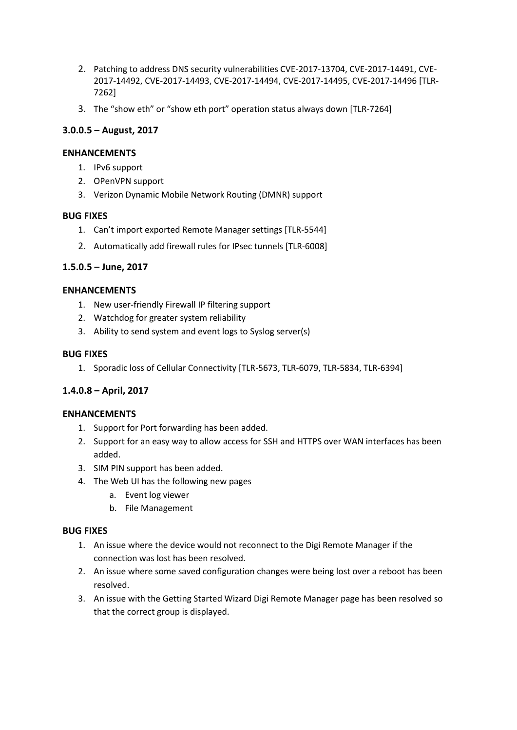- 2. Patching to address DNS security vulnerabilities CVE-2017-13704, CVE-2017-14491, CVE-2017-14492, CVE-2017-14493, CVE-2017-14494, CVE-2017-14495, CVE-2017-14496 [TLR-7262]
- 3. The "show eth" or "show eth port" operation status always down [TLR-7264]

### **3.0.0.5 – August, 2017**

#### **ENHANCEMENTS**

- 1. IPv6 support
- 2. OPenVPN support
- 3. Verizon Dynamic Mobile Network Routing (DMNR) support

#### **BUG FIXES**

- 1. Can't import exported Remote Manager settings [TLR-5544]
- 2. Automatically add firewall rules for IPsec tunnels [TLR-6008]

#### **1.5.0.5 – June, 2017**

#### **ENHANCEMENTS**

- 1. New user-friendly Firewall IP filtering support
- 2. Watchdog for greater system reliability
- 3. Ability to send system and event logs to Syslog server(s)

#### **BUG FIXES**

1. Sporadic loss of Cellular Connectivity [TLR-5673, TLR-6079, TLR-5834, TLR-6394]

### **1.4.0.8 – April, 2017**

#### **ENHANCEMENTS**

- 1. Support for Port forwarding has been added.
- 2. Support for an easy way to allow access for SSH and HTTPS over WAN interfaces has been added.
- 3. SIM PIN support has been added.
- 4. The Web UI has the following new pages
	- a. Event log viewer
	- b. File Management

#### **BUG FIXES**

- 1. An issue where the device would not reconnect to the Digi Remote Manager if the connection was lost has been resolved.
- 2. An issue where some saved configuration changes were being lost over a reboot has been resolved.
- 3. An issue with the Getting Started Wizard Digi Remote Manager page has been resolved so that the correct group is displayed.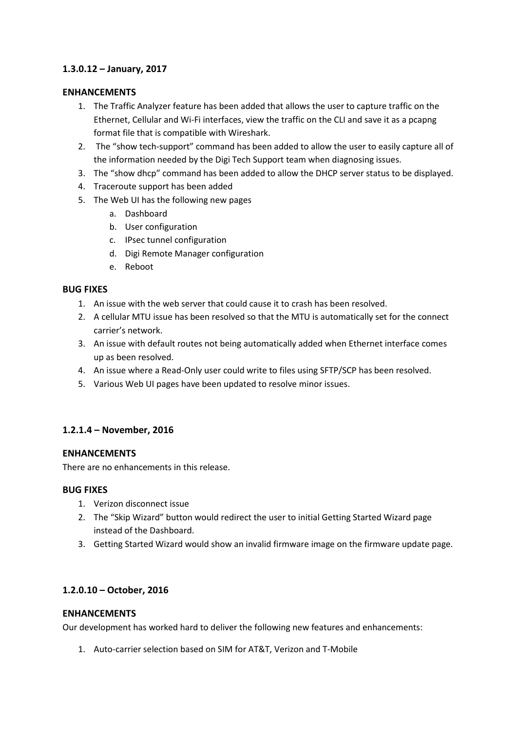#### **1.3.0.12 – January, 2017**

#### **ENHANCEMENTS**

- 1. The Traffic Analyzer feature has been added that allows the user to capture traffic on the Ethernet, Cellular and Wi-Fi interfaces, view the traffic on the CLI and save it as a pcapng format file that is compatible with Wireshark.
- 2. The "show tech-support" command has been added to allow the user to easily capture all of the information needed by the Digi Tech Support team when diagnosing issues.
- 3. The "show dhcp" command has been added to allow the DHCP server status to be displayed.
- 4. Traceroute support has been added
- 5. The Web UI has the following new pages
	- a. Dashboard
	- b. User configuration
	- c. IPsec tunnel configuration
	- d. Digi Remote Manager configuration
	- e. Reboot

#### **BUG FIXES**

- 1. An issue with the web server that could cause it to crash has been resolved.
- 2. A cellular MTU issue has been resolved so that the MTU is automatically set for the connect carrier's network.
- 3. An issue with default routes not being automatically added when Ethernet interface comes up as been resolved.
- 4. An issue where a Read-Only user could write to files using SFTP/SCP has been resolved.
- 5. Various Web UI pages have been updated to resolve minor issues.

### **1.2.1.4 – November, 2016**

#### **ENHANCEMENTS**

There are no enhancements in this release.

#### **BUG FIXES**

- 1. Verizon disconnect issue
- 2. The "Skip Wizard" button would redirect the user to initial Getting Started Wizard page instead of the Dashboard.
- 3. Getting Started Wizard would show an invalid firmware image on the firmware update page.

#### **1.2.0.10 – October, 2016**

#### **ENHANCEMENTS**

Our development has worked hard to deliver the following new features and enhancements:

1. Auto-carrier selection based on SIM for AT&T, Verizon and T-Mobile